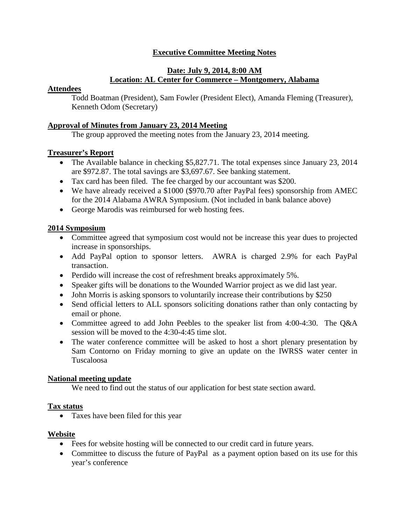# **Executive Committee Meeting Notes**

## **Date: July 9, 2014, 8:00 AM Location: AL Center for Commerce – Montgomery, Alabama**

#### **Attendees**

Todd Boatman (President), Sam Fowler (President Elect), Amanda Fleming (Treasurer), Kenneth Odom (Secretary)

### **Approval of Minutes from January 23, 2014 Meeting**

The group approved the meeting notes from the January 23, 2014 meeting.

### **Treasurer's Report**

- The Available balance in checking \$5,827.71. The total expenses since January 23, 2014 are \$972.87. The total savings are \$3,697.67. See banking statement.
- Tax card has been filed. The fee charged by our accountant was \$200.
- We have already received a \$1000 (\$970.70 after PayPal fees) sponsorship from AMEC for the 2014 Alabama AWRA Symposium. (Not included in bank balance above)
- George Marodis was reimbursed for web hosting fees.

### **2014 Symposium**

- Committee agreed that symposium cost would not be increase this year dues to projected increase in sponsorships.
- Add PayPal option to sponsor letters. AWRA is charged 2.9% for each PayPal transaction.
- Perdido will increase the cost of refreshment breaks approximately 5%.
- Speaker gifts will be donations to the Wounded Warrior project as we did last year.
- John Morris is asking sponsors to voluntarily increase their contributions by \$250
- Send official letters to ALL sponsors soliciting donations rather than only contacting by email or phone.
- Committee agreed to add John Peebles to the speaker list from 4:00-4:30. The Q&A session will be moved to the 4:30-4:45 time slot.
- The water conference committee will be asked to host a short plenary presentation by Sam Contorno on Friday morning to give an update on the IWRSS water center in Tuscaloosa

#### **National meeting update**

We need to find out the status of our application for best state section award.

#### **Tax status**

• Taxes have been filed for this year

#### **Website**

- Fees for website hosting will be connected to our credit card in future years.
- Committee to discuss the future of PayPal as a payment option based on its use for this year's conference